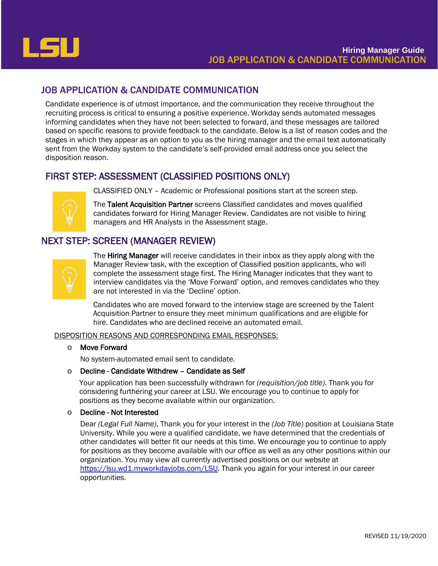

# JOB APPLICATION & CANDIDATE COMMUNICATION

Candidate experience is of utmost importance, and the communication they receive throughout the recruiting process is critical to ensuring a positive experience. Workday sends automated messages informing candidates when they have not been selected to forward, and these messages are tailored based on specific reasons to provide feedback to the candidate. Below is a list of reason codes and the stages in which they appear as an option to you as the hiring manager and the email text automatically sent from the Workday system to the candidate's self-provided email address once you select the disposition reason.

# FIRST STEP: ASSESSMENT (CLASSIFIED POSITIONS ONLY)



CLASSIFIED ONLY – Academic or Professional positions start at the screen step.

The Talent Acquisition Partner screens Classified candidates and moves qualified candidates forward for Hiring Manager Review. Candidates are not visible to hiring managers and HR Analysts in the Assessment stage.

# NEXT STEP: SCREEN (MANAGER REVIEW)



The Hiring Manager will receive candidates in their inbox as they apply along with the Manager Review task, with the exception of Classified position applicants, who will complete the assessment stage first. The Hiring Manager indicates that they want to interview candidates via the 'Move Forward' option, and removes candidates who they are not interested in via the 'Decline' option.

Candidates who are moved forward to the interview stage are screened by the Talent Acquisition Partner to ensure they meet minimum qualifications and are eligible for hire. Candidates who are declined receive an automated email.

DISPOSITION REASONS AND CORRESPONDING EMAIL RESPONSES:

## o Move Forward

No system-automated email sent to candidate.

## o Decline - Candidate Withdrew – Candidate as Self

Your application has been successfully withdrawn for *(requisition/job title)*. Thank you for considering furthering your career at LSU. We encourage you to continue to apply for positions as they become available within our organization.

## o Decline - Not Interested

Dear *(Legal Full Name)*, Thank you for your interest in the *(Job Title)* position at Louisiana State University. While you were a qualified candidate, we have determined that the credentials of other candidates will better fit our needs at this time. We encourage you to continue to apply for positions as they become available with our office as well as any other positions within our organization. You may view all currently advertised positions on our website at [https://lsu.wd1.myworkdayjobs.com/LSU.](https://lsu.wd1.myworkdayjobs.com/LSU) Thank you again for your interest in our career opportunities.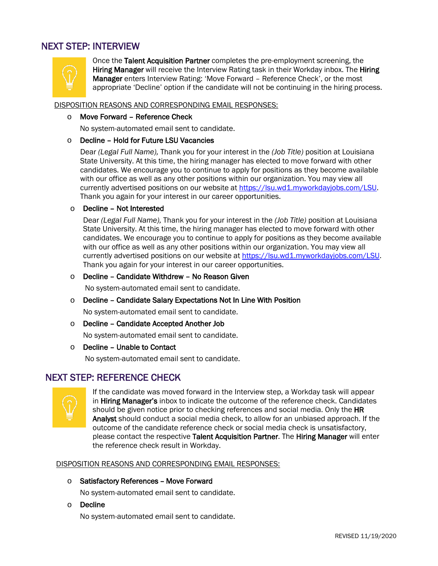# NEXT STEP: INTERVIEW



Once the Talent Acquisition Partner completes the pre-employment screening, the Hiring Manager will receive the Interview Rating task in their Workday inbox. The Hiring Manager enters Interview Rating: 'Move Forward – Reference Check', or the most appropriate 'Decline' option if the candidate will not be continuing in the hiring process.

#### DISPOSITION REASONS AND CORRESPONDING EMAIL RESPONSES:

#### o Move Forward – Reference Check

No system-automated email sent to candidate.

#### o Decline – Hold for Future LSU Vacancies

Dear *(Legal Full Name),* Thank you for your interest in the *(Job Title)* position at Louisiana State University. At this time, the hiring manager has elected to move forward with other candidates. We encourage you to continue to apply for positions as they become available with our office as well as any other positions within our organization. You may view all currently advertised positions on our website at [https://lsu.wd1.myworkdayjobs.com/LSU.](https://lsu.wd1.myworkdayjobs.com/LSU) Thank you again for your interest in our career opportunities.

#### o Decline – Not Interested

Dear *(Legal Full Name),* Thank you for your interest in the *(Job Title)* position at Louisiana State University. At this time, the hiring manager has elected to move forward with other candidates. We encourage you to continue to apply for positions as they become available with our office as well as any other positions within our organization. You may view all currently advertised positions on our website at [https://lsu.wd1.myworkdayjobs.com/LSU.](https://lsu.wd1.myworkdayjobs.com/LSU) Thank you again for your interest in our career opportunities.

#### o Decline – Candidate Withdrew – No Reason Given

No system-automated email sent to candidate.

#### o Decline – Candidate Salary Expectations Not In Line With Position

No system-automated email sent to candidate.

o Decline – Candidate Accepted Another Job

No system-automated email sent to candidate.

#### o Decline – Unable to Contact

No system-automated email sent to candidate.

# NEXT STEP: REFERENCE CHECK



If the candidate was moved forward in the Interview step, a Workday task will appear in Hiring Manager's inbox to indicate the outcome of the reference check. Candidates should be given notice prior to checking references and social media. Only the HR Analyst should conduct a social media check, to allow for an unbiased approach. If the outcome of the candidate reference check or social media check is unsatisfactory, please contact the respective Talent Acquisition Partner. The Hiring Manager will enter the reference check result in Workday.

DISPOSITION REASONS AND CORRESPONDING EMAIL RESPONSES:

o Satisfactory References – Move Forward

No system-automated email sent to candidate.

o Decline

No system-automated email sent to candidate.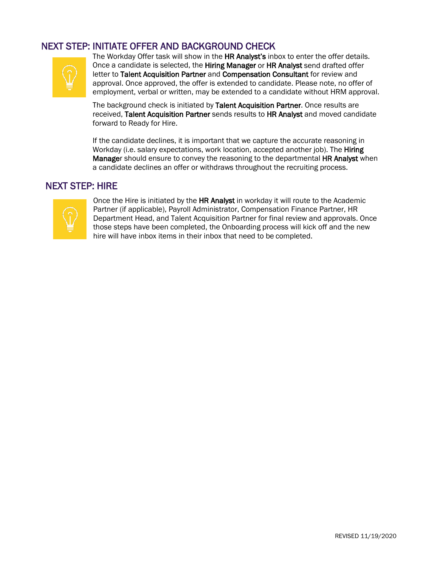# NEXT STEP: INITIATE OFFER AND BACKGROUND CHECK<br>The Workday Offer task will show in the HR Analyst's inbox to enter the offer details.



Once a candidate is selected, the Hiring Manager or HR Analyst send drafted offer letter to Talent Acquisition Partner and Compensation Consultant for review and approval. Once approved, the offer is extended to candidate. Please note, no offer of employment, verbal or written, may be extended to a candidate without HRM approval.

The background check is initiated by Talent Acquisition Partner. Once results are received, Talent Acquisition Partner sends results to HR Analyst and moved candidate forward to Ready for Hire.

If the candidate declines, it is important that we capture the accurate reasoning in Workday (i.e. salary expectations, work location, accepted another job). The Hiring Manager should ensure to convey the reasoning to the departmental HR Analyst when a candidate declines an offer or withdraws throughout the recruiting process.

# NEXT STEP: HIRE



Once the Hire is initiated by the HR Analyst in workday it will route to the Academic Partner (if applicable), Payroll Administrator, Compensation Finance Partner, HR Department Head, and Talent Acquisition Partner for final review and approvals. Once those steps have been completed, the Onboarding process will kick off and the new hire will have inbox items in their inbox that need to be completed.